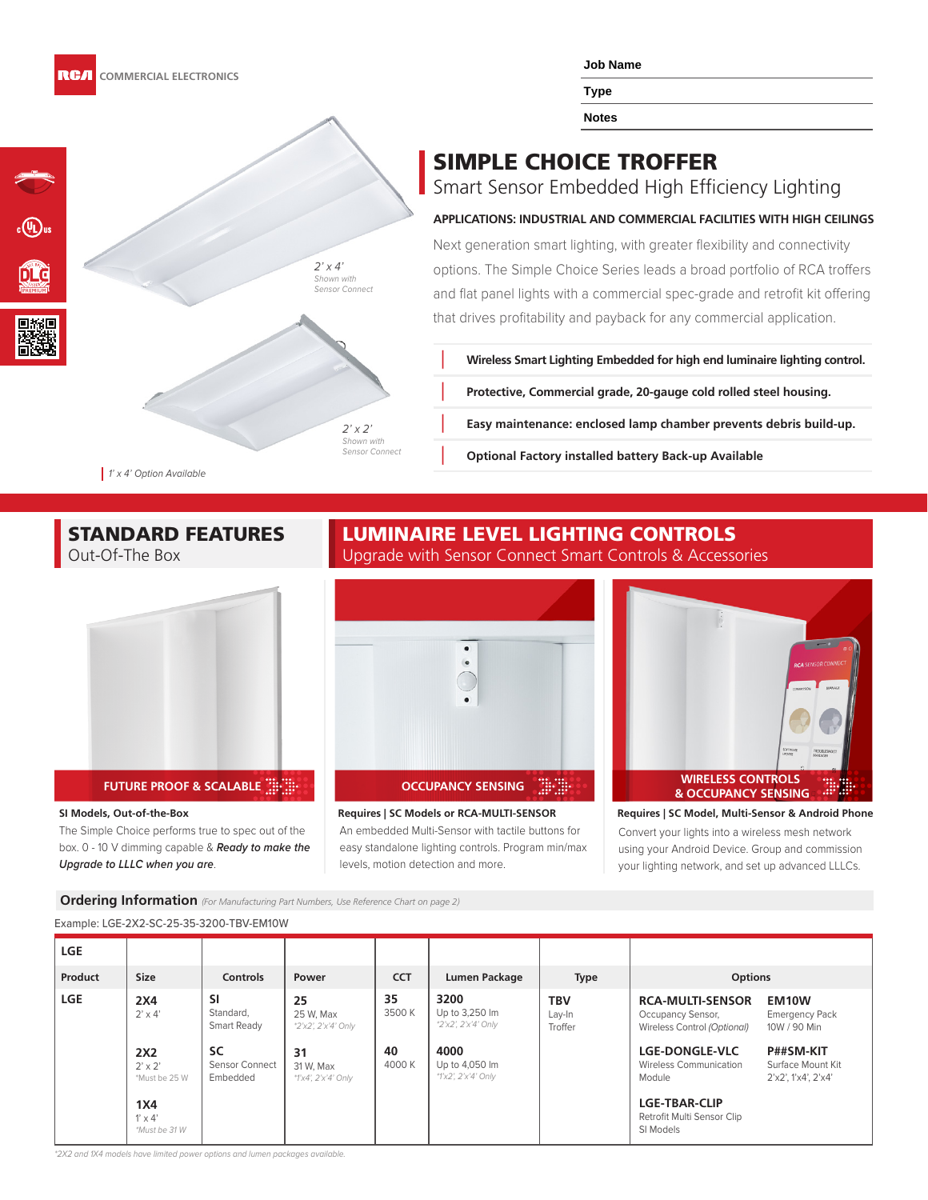

**Type**

**Notes**

## SIMPLE CHOICE TROFFER

Smart Sensor Embedded High Efficiency Lighting

#### **APPLICATIONS: INDUSTRIAL AND COMMERCIAL FACILITIES WITH HIGH CEILINGS**

Next generation smart lighting, with greater flexibility and connectivity options. The Simple Choice Series leads a broad portfolio of RCA troffers and flat panel lights with a commercial spec-grade and retrofit kit offering that drives profitability and payback for any commercial application.

**Ň Wireless Smart Lighting Embedded for high end luminaire lighting control.**

**Ň Protective, Commercial grade, 20-gauge cold rolled steel housing.**

**Ň Easy maintenance: enclosed lamp chamber prevents debris build-up.**

**Optional Factory installed battery Back-up Available** 

1' x 4' Option Available

# STANDARD FEATURES

Out-Of-The Box



#### **FUTURE PROOF & SCALABLE**  $\dddot{a}$  $\dddot{b}$  $\dddot{c}$  $\dddot{c}$  **<b>DETECTS OCCUPANCY SENSING**

#### **SI Models, Out-of-the-Box**

The Simple Choice performs true to spec out of the box. 0 - 10 V dimming capable & **Ready to make the Upgrade to LLLC when you are**.

### LUMINAIRE LEVEL LIGHTING CONTROLS Upgrade with Sensor Connect Smart Controls & Accessories



**Requires | SC Models or RCA-MULTI-SENSOR**



**Requires | SC Model, Multi-Sensor & Android Phone** Convert your lights into a wireless mesh network using your Android Device. Group and commission your lighting network, and set up advanced LLLCs.

**Ordering Information** *(For Manufacturing Part Numbers, Use Reference Chart on page 2)*

#### Example: LGE-2X2-SC-25-35-3200-TBV-EM10W

| <b>LGE</b> |                                        |                                         |                                        |              |                                               |                          |                                                                             |                                                       |
|------------|----------------------------------------|-----------------------------------------|----------------------------------------|--------------|-----------------------------------------------|--------------------------|-----------------------------------------------------------------------------|-------------------------------------------------------|
| Product    | <b>Size</b>                            | <b>Controls</b>                         | Power                                  | <b>CCT</b>   | Lumen Package                                 | <b>Type</b>              | <b>Options</b>                                                              |                                                       |
| <b>LGE</b> | 2X4<br>$2' \times 4'$                  | <b>SI</b><br>Standard,<br>Smart Ready   | 25<br>25 W. Max<br>*2'x2', 2'x'4' Only | 35<br>3500K  | 3200<br>Up to 3,250 lm<br>*2'x2', 2'x'4' Only | TBV<br>Lay-In<br>Troffer | <b>RCA-MULTI-SENSOR</b><br>Occupancy Sensor,<br>Wireless Control (Optional) | EM10W<br><b>Emergency Pack</b><br>10W / 90 Min        |
|            | 2X2<br>$2' \times 2'$<br>*Must be 25 W | <b>SC</b><br>Sensor Connect<br>Embedded | 31<br>31 W. Max<br>*1'x4', 2'x'4' Only | 40<br>4000 K | 4000<br>Up to 4,050 lm<br>*1'x2', 2'x'4' Only |                          | <b>LGE-DONGLE-VLC</b><br><b>Wireless Communication</b><br>Module            | P##SM-KIT<br>Surface Mount Kit<br>2'x2', 1'x4', 2'x4' |
|            | 1X4<br>$1' \times 4'$<br>*Must be 31 W |                                         |                                        |              |                                               |                          | <b>LGE-TBAR-CLIP</b><br>Retrofit Multi Sensor Clip<br>SI Models             |                                                       |

\*2X2 and 1X4 models have limited power options and lumen packages available.

 $2'$  x 4'

Shown with Sensor Connect

 $2'$  x  $2'$ 

Shown with .<br>Sensor Connect

An embedded Multi-Sensor with tactile buttons for easy standalone lighting controls. Program min/max levels, motion detection and more.